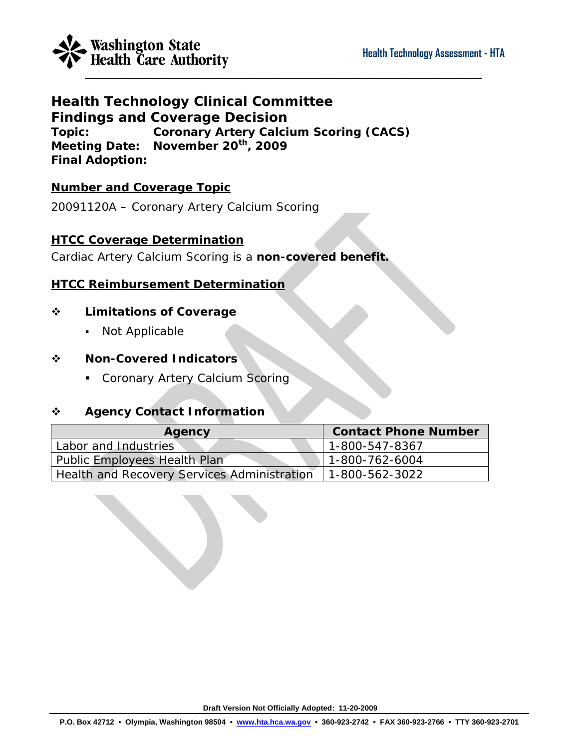

# **Health Technology Clinical Committee Findings and Coverage Decision Topic: Coronary Artery Calcium Scoring (CACS) Meeting Date: November 20th, 2009 Final Adoption:**

## **Number and Coverage Topic**

20091120A – Coronary Artery Calcium Scoring

## **HTCC Coverage Determination**

Cardiac Artery Calcium Scoring is a **non-covered benefit.** 

## **HTCC Reimbursement Determination**

#### **Limitations of Coverage**

• Not Applicable

#### **Non-Covered Indicators**

**Coronary Artery Calcium Scoring** 

## **Agency Contact Information**

| Agency                                      | <b>Contact Phone Number</b> |
|---------------------------------------------|-----------------------------|
| Labor and Industries                        | 1-800-547-8367              |
| Public Employees Health Plan                | 1-800-762-6004              |
| Health and Recovery Services Administration | 1-800-562-3022              |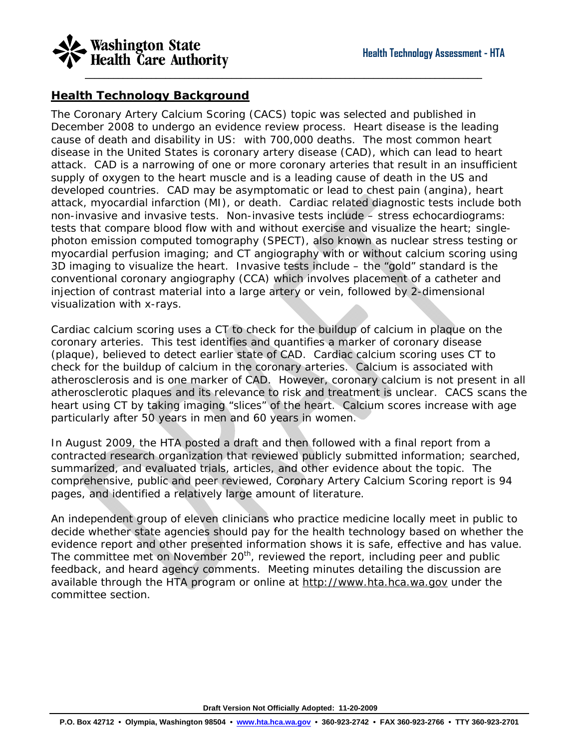

#### **Health Technology Background**

The Coronary Artery Calcium Scoring (CACS) topic was selected and published in December 2008 to undergo an evidence review process. Heart disease is the leading cause of death and disability in US: with 700,000 deaths. The most common heart disease in the United States is coronary artery disease (CAD), which can lead to heart attack. CAD is a narrowing of one or more coronary arteries that result in an insufficient supply of oxygen to the heart muscle and is a leading cause of death in the US and developed countries. CAD may be asymptomatic or lead to chest pain (angina), heart attack, myocardial infarction (MI), or death. Cardiac related diagnostic tests include both non-invasive and invasive tests. Non-invasive tests include – stress echocardiograms: tests that compare blood flow with and without exercise and visualize the heart; singlephoton emission computed tomography (SPECT), also known as nuclear stress testing or myocardial perfusion imaging; and CT angiography with or without calcium scoring using 3D imaging to visualize the heart. Invasive tests include – the "gold" standard is the conventional coronary angiography (CCA) which involves placement of a catheter and injection of contrast material into a large artery or vein, followed by 2-dimensional visualization with x-rays.

Cardiac calcium scoring uses a CT to check for the buildup of calcium in plaque on the coronary arteries. This test identifies and quantifies a marker of coronary disease (plaque), believed to detect earlier state of CAD. Cardiac calcium scoring uses CT to check for the buildup of calcium in the coronary arteries. Calcium is associated with atherosclerosis and is one marker of CAD. However, coronary calcium is not present in all atherosclerotic plaques and its relevance to risk and treatment is unclear. CACS scans the heart using CT by taking imaging "slices" of the heart. Calcium scores increase with age particularly after 50 years in men and 60 years in women.

In August 2009, the HTA posted a draft and then followed with a final report from a contracted research organization that reviewed publicly submitted information; searched, summarized, and evaluated trials, articles, and other evidence about the topic. The comprehensive, public and peer reviewed, Coronary Artery Calcium Scoring report is 94 pages, and identified a relatively large amount of literature.

An independent group of eleven clinicians who practice medicine locally meet in public to decide whether state agencies should pay for the health technology based on whether the evidence report and other presented information shows it is safe, effective and has value. The committee met on November  $20<sup>th</sup>$ , reviewed the report, including peer and public feedback, and heard agency comments. Meeting minutes detailing the discussion are available through the HTA program or online at [http://www.hta.hca.wa.gov](http://www.hta.hca.wa.gov/) under the committee section.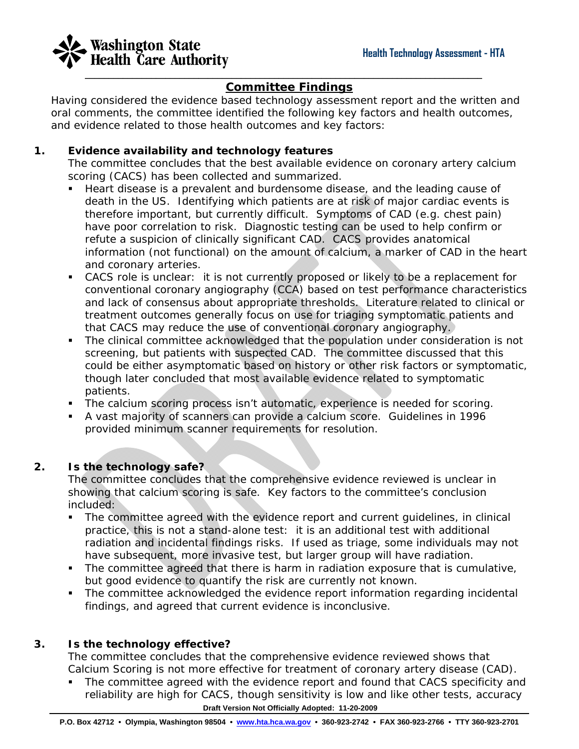

# **Committee Findings**

Having considered the evidence based technology assessment report and the written and oral comments, the committee identified the following key factors and health outcomes, and evidence related to those health outcomes and key factors:

#### **1. Evidence availability and technology features**

The committee concludes that the best available evidence on coronary artery calcium scoring (CACS) has been collected and summarized.

- Heart disease is a prevalent and burdensome disease, and the leading cause of death in the US. Identifying which patients are at risk of major cardiac events is therefore important, but currently difficult. Symptoms of CAD (e.g. chest pain) have poor correlation to risk. Diagnostic testing can be used to help confirm or refute a suspicion of clinically significant CAD. CACS provides anatomical information (not functional) on the amount of calcium, a marker of CAD in the heart and coronary arteries.
- CACS role is unclear: it is not currently proposed or likely to be a replacement for conventional coronary angiography (CCA) based on test performance characteristics and lack of consensus about appropriate thresholds. Literature related to clinical or treatment outcomes generally focus on use for triaging symptomatic patients and that CACS may reduce the use of conventional coronary angiography.
- The clinical committee acknowledged that the population under consideration is not screening, but patients with suspected CAD. The committee discussed that this could be either asymptomatic based on history or other risk factors or symptomatic, though later concluded that most available evidence related to symptomatic patients.
- The calcium scoring process isn't automatic, experience is needed for scoring.
- A vast majority of scanners can provide a calcium score. Guidelines in 1996 provided minimum scanner requirements for resolution.

#### **2. Is the technology safe?**

The committee concludes that the comprehensive evidence reviewed is unclear in showing that calcium scoring is safe. Key factors to the committee's conclusion included:

- The committee agreed with the evidence report and current guidelines, in clinical practice, this is not a stand-alone test: it is an additional test with additional radiation and incidental findings risks. If used as triage, some individuals may not have subsequent, more invasive test, but larger group will have radiation.
- The committee agreed that there is harm in radiation exposure that is cumulative, but good evidence to quantify the risk are currently not known.
- The committee acknowledged the evidence report information regarding incidental findings, and agreed that current evidence is inconclusive.

#### **3. Is the technology effective?**

The committee concludes that the comprehensive evidence reviewed shows that Calcium Scoring is not more effective for treatment of coronary artery disease (CAD).

 **Draft Version Not Officially Adopted: 11-20-2009**  The committee agreed with the evidence report and found that CACS specificity and reliability are high for CACS, though sensitivity is low and like other tests, accuracy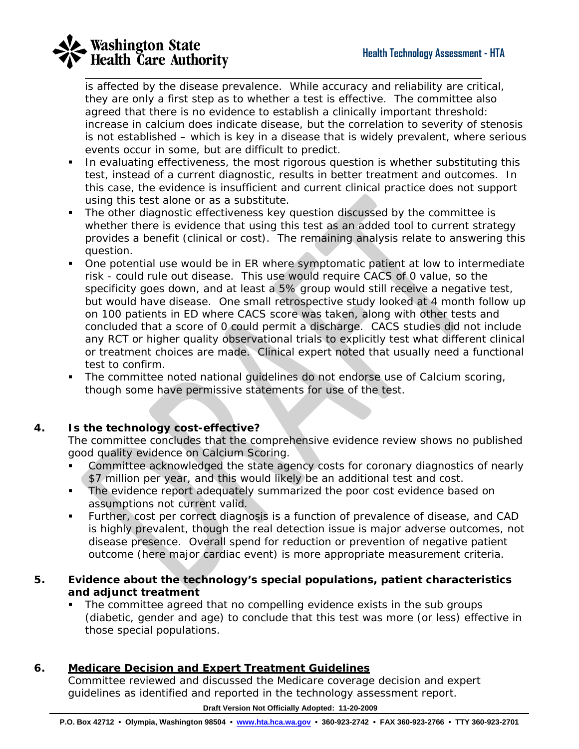

is affected by the disease prevalence. While accuracy and reliability are critical, they are only a first step as to whether a test is effective. The committee also agreed that there is no evidence to establish a clinically important threshold: increase in calcium does indicate disease, but the correlation to severity of stenosis is not established – which is key in a disease that is widely prevalent, where serious events occur in some, but are difficult to predict.

- In evaluating effectiveness, the most rigorous question is whether substituting this test, instead of a current diagnostic, results in better treatment and outcomes. In this case, the evidence is insufficient and current clinical practice does not support using this test alone or as a substitute.
- The other diagnostic effectiveness key question discussed by the committee is whether there is evidence that using this test as an added tool to current strategy provides a benefit (clinical or cost). The remaining analysis relate to answering this question.
- One potential use would be in ER where symptomatic patient at low to intermediate risk - could rule out disease. This use would require CACS of 0 value, so the specificity goes down, and at least a 5% group would still receive a negative test, but would have disease. One small retrospective study looked at 4 month follow up on 100 patients in ED where CACS score was taken, along with other tests and concluded that a score of 0 could permit a discharge. CACS studies did not include any RCT or higher quality observational trials to explicitly test what different clinical or treatment choices are made. Clinical expert noted that usually need a functional test to confirm.
- The committee noted national guidelines do not endorse use of Calcium scoring, though some have permissive statements for use of the test.

#### **4. Is the technology cost-effective?**

The committee concludes that the comprehensive evidence review shows no published good quality evidence on Calcium Scoring.

- Committee acknowledged the state agency costs for coronary diagnostics of nearly \$7 million per year, and this would likely be an additional test and cost.
- **The evidence report adequately summarized the poor cost evidence based on** assumptions not current valid.
- Further, cost per correct diagnosis is a function of prevalence of disease, and CAD is highly prevalent, though the real detection issue is major adverse outcomes, not disease presence. Overall spend for reduction or prevention of negative patient outcome (here major cardiac event) is more appropriate measurement criteria.

#### **5. Evidence about the technology's special populations, patient characteristics and adjunct treatment**

• The committee agreed that no compelling evidence exists in the sub groups (diabetic, gender and age) to conclude that this test was more (or less) effective in those special populations.

#### **6. Medicare Decision and Expert Treatment Guidelines**

Committee reviewed and discussed the Medicare coverage decision and expert guidelines as identified and reported in the technology assessment report.

#### **Draft Version Not Officially Adopted: 11-20-2009**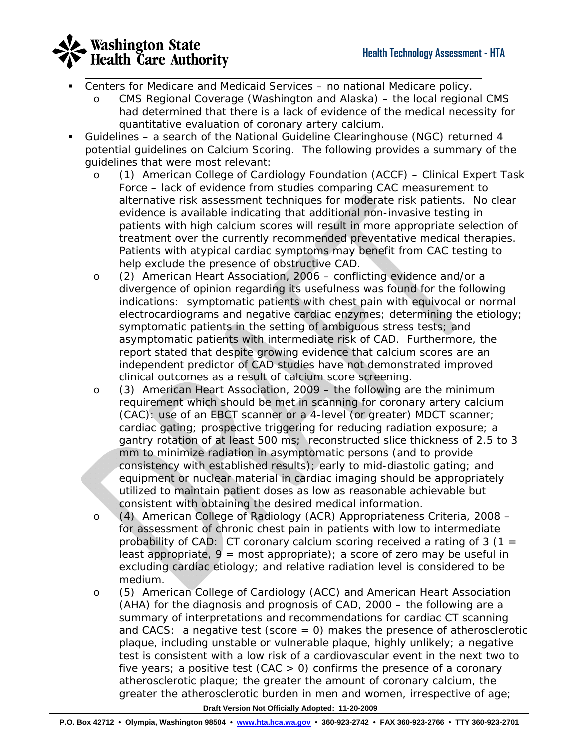

- Centers for Medicare and Medicaid Services no national Medicare policy.
	- o CMS Regional Coverage (Washington and Alaska) the local regional CMS had determined that there is a lack of evidence of the medical necessity for quantitative evaluation of coronary artery calcium.
- Guidelines a search of the National Guideline Clearinghouse (NGC) returned 4 potential guidelines on Calcium Scoring. The following provides a summary of the guidelines that were most relevant:
	- o (1) American College of Cardiology Foundation (ACCF) Clinical Expert Task Force – lack of evidence from studies comparing CAC measurement to alternative risk assessment techniques for moderate risk patients. No clear evidence is available indicating that additional non-invasive testing in patients with high calcium scores will result in more appropriate selection of treatment over the currently recommended preventative medical therapies. Patients with atypical cardiac symptoms may benefit from CAC testing to help exclude the presence of obstructive CAD.
	- o (2) American Heart Association, 2006 conflicting evidence and/or a divergence of opinion regarding its usefulness was found for the following indications: symptomatic patients with chest pain with equivocal or normal electrocardiograms and negative cardiac enzymes; determining the etiology; symptomatic patients in the setting of ambiguous stress tests; and asymptomatic patients with intermediate risk of CAD. Furthermore, the report stated that despite growing evidence that calcium scores are an independent predictor of CAD studies have not demonstrated improved clinical outcomes as a result of calcium score screening.
	- o (3) American Heart Association, 2009 the following are the minimum requirement which should be met in scanning for coronary artery calcium (CAC): use of an EBCT scanner or a 4-level (or greater) MDCT scanner; cardiac gating; prospective triggering for reducing radiation exposure; a gantry rotation of at least 500 ms; reconstructed slice thickness of 2.5 to 3 mm to minimize radiation in asymptomatic persons (and to provide consistency with established results); early to mid-diastolic gating; and equipment or nuclear material in cardiac imaging should be appropriately utilized to maintain patient doses as low as reasonable achievable but consistent with obtaining the desired medical information.
	- o (4) American College of Radiology (ACR) Appropriateness Criteria, 2008 for assessment of chronic chest pain in patients with low to intermediate probability of CAD: CT coronary calcium scoring received a rating of 3 (1 = least appropriate,  $9 = \text{most appropriate}$ ; a score of zero may be useful in excluding cardiac etiology; and relative radiation level is considered to be medium.
	- o (5) American College of Cardiology (ACC) and American Heart Association (AHA) for the diagnosis and prognosis of CAD, 2000 – the following are a summary of interpretations and recommendations for cardiac CT scanning and CACS: a negative test (score  $= 0$ ) makes the presence of atherosclerotic plaque, including unstable or vulnerable plaque, highly unlikely; a negative test is consistent with a low risk of a cardiovascular event in the next two to five years; a positive test  $(CAC > 0)$  confirms the presence of a coronary atherosclerotic plaque; the greater the amount of coronary calcium, the greater the atherosclerotic burden in men and women, irrespective of age;

 **Draft Version Not Officially Adopted: 11-20-2009**